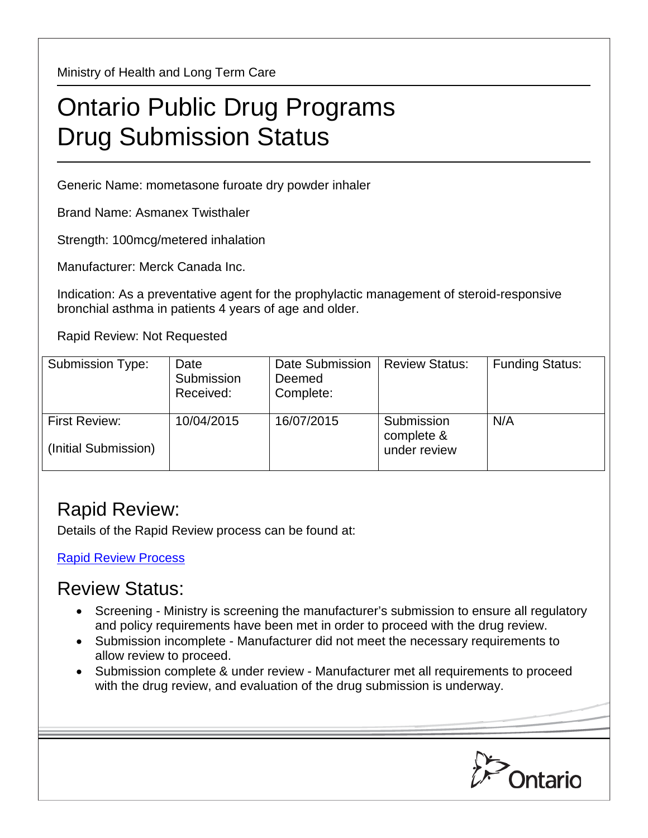Ministry of Health and Long Term Care

## Ontario Public Drug Programs Drug Submission Status

Generic Name: mometasone furoate dry powder inhaler

Brand Name: Asmanex Twisthaler

Strength: 100mcg/metered inhalation

Manufacturer: Merck Canada Inc.

Indication: As a preventative agent for the prophylactic management of steroid-responsive bronchial asthma in patients 4 years of age and older.

Rapid Review: Not Requested

| Submission Type:                             | Date<br>Submission<br>Received: | Date Submission<br>Deemed<br>Complete: | <b>Review Status:</b>                    | <b>Funding Status:</b> |
|----------------------------------------------|---------------------------------|----------------------------------------|------------------------------------------|------------------------|
| <b>First Review:</b><br>(Initial Submission) | 10/04/2015                      | 16/07/2015                             | Submission<br>complete &<br>under review | N/A                    |

## Rapid Review:

Details of the Rapid Review process can be found at:

[Rapid Review Process](http://www.health.gov.on.ca/en/pro/programs/drugs/drug_submissions/rapid_review_process.aspx)

## Review Status:

- Screening Ministry is screening the manufacturer's submission to ensure all regulatory and policy requirements have been met in order to proceed with the drug review.
- Submission incomplete Manufacturer did not meet the necessary requirements to allow review to proceed.
- Submission complete & under review Manufacturer met all requirements to proceed with the drug review, and evaluation of the drug submission is underway.